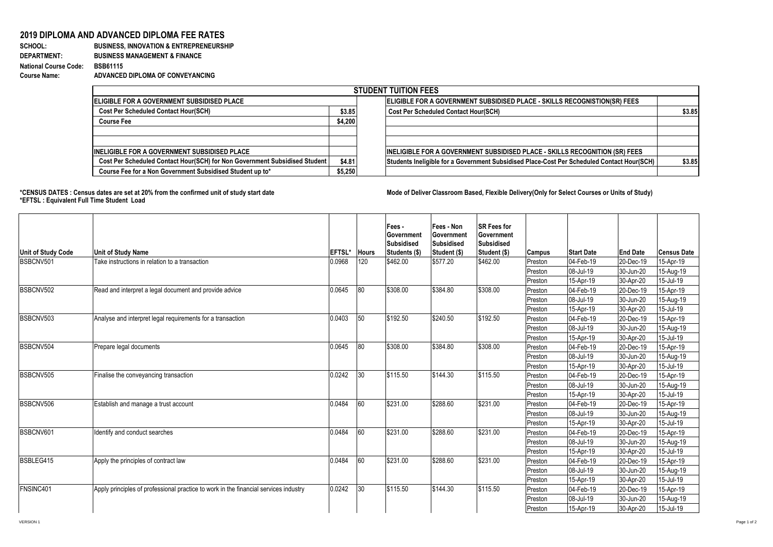## **2019 DIPLOMA AND ADVANCED DIPLOMA FEE RATES**<br>**BUSINESS, INNOVATION & ENTREPRENEURS**

## **SCHOOL:** BUSINESS, INNOVATION & ENTREPRENEURSHIP<br>DEPARTMENT: BUSINESS MANAGEMENT & FINANCE **DEPARTMENT: BUSINESS MANAGEMENT & FINANCE National Course Code: BSB61115 Course Name: ADVANCED DIPLOMA OF CONVEYANCING**

| <b>STUDENT TUITION FEES</b>                                                |         |  |                                                                                            |        |  |  |  |  |  |
|----------------------------------------------------------------------------|---------|--|--------------------------------------------------------------------------------------------|--------|--|--|--|--|--|
| <b>IELIGIBLE FOR A GOVERNMENT SUBSIDISED PLACE</b>                         |         |  | ELIGIBLE FOR A GOVERNMENT SUBSIDISED PLACE - SKILLS RECOGNISTION(SR) FEES                  |        |  |  |  |  |  |
| <b>Cost Per Scheduled Contact Hour(SCH)</b>                                | \$3.85  |  | <b>Cost Per Scheduled Contact Hour(SCH)</b>                                                | \$3.85 |  |  |  |  |  |
| <b>Course Fee</b>                                                          | \$4,200 |  |                                                                                            |        |  |  |  |  |  |
|                                                                            |         |  |                                                                                            |        |  |  |  |  |  |
|                                                                            |         |  |                                                                                            |        |  |  |  |  |  |
| <b>IINELIGIBLE FOR A GOVERNMENT SUBSIDISED PLACE</b>                       |         |  | <b>INELIGIBLE FOR A GOVERNMENT SUBSIDISED PLACE - SKILLS RECOGNITION (SR) FEES</b>         |        |  |  |  |  |  |
| Cost Per Scheduled Contact Hour(SCH) for Non Government Subsidised Student | \$4.81  |  | Students Ineligible for a Government Subsidised Place-Cost Per Scheduled Contact Hour(SCH) | \$3.85 |  |  |  |  |  |
| Course Fee for a Non Government Subsidised Student up to*                  | \$5,250 |  |                                                                                            |        |  |  |  |  |  |

## \*CENSUS DATES : Census dates are set at 20% from the confirmed unit of study start date **Mode of Deliver Classroom Based, Flexible Delivery(Only for Select Courses or Units of Study) \*EFTSL : Equivalent Full Time Student Load**

| Unit of Study Code | <b>Unit of Study Name</b>                                                            | EFTSL* | <b>Hours</b> | Fees -<br>Government<br><b>Subsidised</b><br>Students (\$) | Fees - Non<br>Government<br>Subsidised<br>Student (\$) | <b>SR Fees for</b><br>Government<br><b>Subsidised</b><br>Student (\$) | <b>Campus</b> | <b>Start Date</b> | <b>End Date</b> | <b>Census Date</b> |
|--------------------|--------------------------------------------------------------------------------------|--------|--------------|------------------------------------------------------------|--------------------------------------------------------|-----------------------------------------------------------------------|---------------|-------------------|-----------------|--------------------|
| BSBCNV501          | Take instructions in relation to a transaction                                       | 0.0968 | 120          | \$462.00                                                   | \$577.20                                               | \$462.00                                                              | Preston       | 04-Feb-19         | 20-Dec-19       | 15-Apr-19          |
|                    |                                                                                      |        |              |                                                            |                                                        |                                                                       | Preston       | 08-Jul-19         | 30-Jun-20       | 15-Aug-19          |
|                    |                                                                                      |        |              |                                                            |                                                        |                                                                       | Preston       | 15-Apr-19         | 30-Apr-20       | 15-Jul-19          |
| BSBCNV502          | Read and interpret a legal document and provide advice                               | 0.0645 | 80           | \$308.00                                                   | \$384.80                                               | \$308.00                                                              | Preston       | 04-Feb-19         | 20-Dec-19       | 15-Apr-19          |
|                    |                                                                                      |        |              |                                                            |                                                        |                                                                       | Preston       | 08-Jul-19         | 30-Jun-20       | 15-Aug-19          |
|                    |                                                                                      |        |              |                                                            |                                                        |                                                                       | Preston       | 15-Apr-19         | 30-Apr-20       | 15-Jul-19          |
| BSBCNV503          | Analyse and interpret legal requirements for a transaction                           | 0.0403 | 50           | \$192.50                                                   | \$240.50                                               | \$192.50                                                              | Preston       | 04-Feb-19         | 20-Dec-19       | 15-Apr-19          |
|                    |                                                                                      |        |              |                                                            |                                                        |                                                                       | Preston       | 08-Jul-19         | 30-Jun-20       | 15-Aug-19          |
|                    |                                                                                      |        |              |                                                            |                                                        |                                                                       | Preston       | 15-Apr-19         | 30-Apr-20       | 15-Jul-19          |
| BSBCNV504          | Prepare legal documents                                                              | 0.0645 | 80           | \$308.00                                                   | \$384.80                                               | \$308.00                                                              | Preston       | 04-Feb-19         | 20-Dec-19       | 15-Apr-19          |
|                    |                                                                                      |        |              |                                                            |                                                        |                                                                       | Preston       | 08-Jul-19         | 30-Jun-20       | 15-Aug-19          |
|                    |                                                                                      |        |              |                                                            |                                                        |                                                                       | Preston       | 15-Apr-19         | 30-Apr-20       | 15-Jul-19          |
| BSBCNV505          | Finalise the conveyancing transaction                                                | 0.0242 | 30           | \$115.50                                                   | \$144.30                                               | \$115.50                                                              | Preston       | 04-Feb-19         | 20-Dec-19       | 15-Apr-19          |
|                    |                                                                                      |        |              |                                                            |                                                        |                                                                       | Preston       | 08-Jul-19         | 30-Jun-20       | 15-Aug-19          |
|                    |                                                                                      |        |              |                                                            |                                                        |                                                                       | Preston       | 15-Apr-19         | 30-Apr-20       | 15-Jul-19          |
| BSBCNV506          | Establish and manage a trust account                                                 | 0.0484 | 60           | \$231.00                                                   | \$288.60                                               | \$231.00                                                              | Preston       | 04-Feb-19         | 20-Dec-19       | 15-Apr-19          |
|                    |                                                                                      |        |              |                                                            |                                                        |                                                                       | Preston       | 08-Jul-19         | 30-Jun-20       | 15-Aug-19          |
|                    |                                                                                      |        |              |                                                            |                                                        |                                                                       | Preston       | 15-Apr-19         | 30-Apr-20       | 15-Jul-19          |
| BSBCNV601          | Identify and conduct searches                                                        | 0.0484 | 60           | \$231.00                                                   | \$288.60                                               | \$231.00                                                              | Preston       | 04-Feb-19         | 20-Dec-19       | 15-Apr-19          |
|                    |                                                                                      |        |              |                                                            |                                                        |                                                                       | Preston       | 08-Jul-19         | 30-Jun-20       | 15-Aug-19          |
|                    |                                                                                      |        |              |                                                            |                                                        |                                                                       | Preston       | 15-Apr-19         | 30-Apr-20       | 15-Jul-19          |
| BSBLEG415          | Apply the principles of contract law                                                 | 0.0484 | 60           | \$231.00                                                   | \$288.60                                               | \$231.00                                                              | Preston       | 04-Feb-19         | 20-Dec-19       | 15-Apr-19          |
|                    |                                                                                      |        |              |                                                            |                                                        |                                                                       | Preston       | 08-Jul-19         | 30-Jun-20       | 15-Aug-19          |
|                    |                                                                                      |        |              |                                                            |                                                        |                                                                       | Preston       | 15-Apr-19         | 30-Apr-20       | 15-Jul-19          |
| FNSINC401          | Apply principles of professional practice to work in the financial services industry | 0.0242 | 30           | \$115.50                                                   | \$144.30                                               | \$115.50                                                              | Preston       | 04-Feb-19         | 20-Dec-19       | 15-Apr-19          |
|                    |                                                                                      |        |              |                                                            |                                                        |                                                                       | Preston       | 08-Jul-19         | 30-Jun-20       | 15-Aug-19          |
|                    |                                                                                      |        |              |                                                            |                                                        |                                                                       | Preston       | 15-Apr-19         | 30-Apr-20       | 15-Jul-19          |